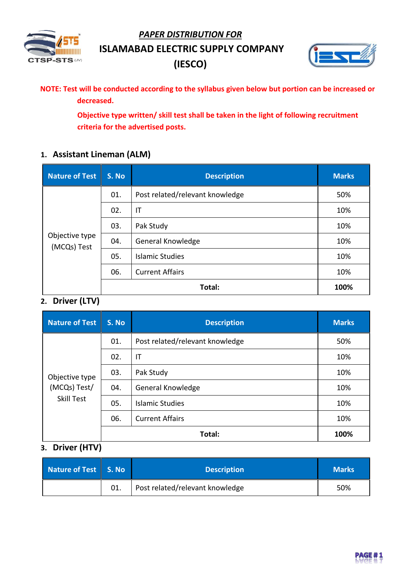*PAPER DISTRIBUTION FOR*



**ISLAMABAD ELECTRIC SUPPLY COMPANY** 

**(IESCO)**



**NOTE: Test will be conducted according to the syllabus given below but portion can be increased or decreased.** 

> **Objective type written/ skill test shall be taken in the light of following recruitment criteria for the advertised posts.**

## **1. Assistant Lineman (ALM)**

| <b>Nature of Test</b>         | S. No | <b>Description</b>              | <b>Marks</b> |
|-------------------------------|-------|---------------------------------|--------------|
| Objective type<br>(MCQs) Test | 01.   | Post related/relevant knowledge | 50%          |
|                               | 02.   | IT                              | 10%          |
|                               | 03.   | Pak Study                       | 10%          |
|                               | 04.   | General Knowledge               | 10%          |
|                               | 05.   | <b>Islamic Studies</b>          | 10%          |
|                               | 06.   | <b>Current Affairs</b>          | 10%          |
|                               |       | Total:                          | 100%         |

## **2. Driver (LTV)**

| <b>Nature of Test</b>                               | S. No | <b>Description</b>              | <b>Marks</b> |
|-----------------------------------------------------|-------|---------------------------------|--------------|
| Objective type<br>(MCQs) Test/<br><b>Skill Test</b> | 01.   | Post related/relevant knowledge | 50%          |
|                                                     | 02.   | IT                              | 10%          |
|                                                     | 03.   | Pak Study                       | 10%          |
|                                                     | 04.   | General Knowledge               | 10%          |
|                                                     | 05.   | <b>Islamic Studies</b>          | 10%          |
|                                                     | 06.   | <b>Current Affairs</b>          | 10%          |
|                                                     |       | Total:                          | 100%         |

## **3. Driver (HTV)**

| Nature of Test   S. No | <b>Description</b>              | <b>Marks</b> |
|------------------------|---------------------------------|--------------|
|                        | Post related/relevant knowledge | 50%          |